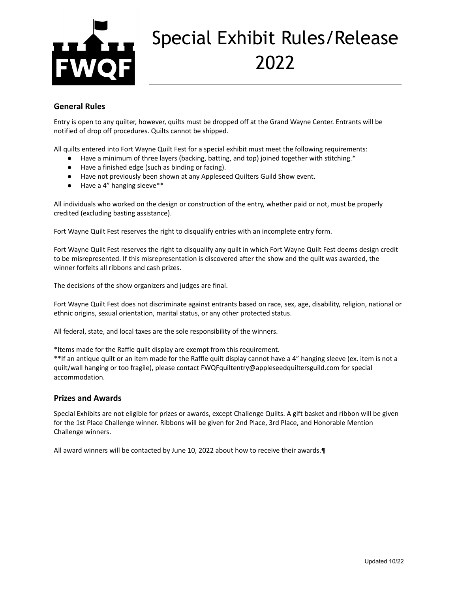

# Special Exhibit Rules/Release 2022

## **General Rules**

Entry is open to any quilter, however, quilts must be dropped off at the Grand Wayne Center. Entrants will be notified of drop off procedures. Quilts cannot be shipped.

All quilts entered into Fort Wayne Quilt Fest for a special exhibit must meet the following requirements:

- Have a minimum of three layers (backing, batting, and top) joined together with stitching.\*
- Have a finished edge (such as binding or facing).
- Have not previously been shown at any Appleseed Quilters Guild Show event.
- Have a 4" hanging sleeve\*\*

All individuals who worked on the design or construction of the entry, whether paid or not, must be properly credited (excluding basting assistance).

Fort Wayne Quilt Fest reserves the right to disqualify entries with an incomplete entry form.

Fort Wayne Quilt Fest reserves the right to disqualify any quilt in which Fort Wayne Quilt Fest deems design credit to be misrepresented. If this misrepresentation is discovered after the show and the quilt was awarded, the winner forfeits all ribbons and cash prizes.

The decisions of the show organizers and judges are final.

Fort Wayne Quilt Fest does not discriminate against entrants based on race, sex, age, disability, religion, national or ethnic origins, sexual orientation, marital status, or any other protected status.

All federal, state, and local taxes are the sole responsibility of the winners.

\*Items made for the Raffle quilt display are exempt from this requirement.

\*\*If an antique quilt or an item made for the Raffle quilt display cannot have a 4" hanging sleeve (ex. item is not a quilt/wall hanging or too fragile), please contact FWQFquiltentry@appleseedquiltersguild.com for special accommodation.

#### **Prizes and Awards**

Special Exhibits are not eligible for prizes or awards, except Challenge Quilts. A gift basket and ribbon will be given for the 1st Place Challenge winner. Ribbons will be given for 2nd Place, 3rd Place, and Honorable Mention Challenge winners.

All award winners will be contacted by June 10, 2022 about how to receive their awards.¶